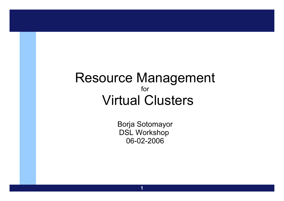#### Resource Management for Virtual Clusters

Borja Sotomayor DSL Workshop 06-02-2006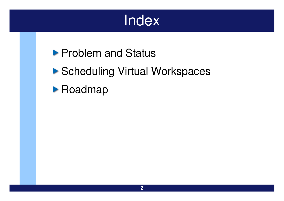## Index

### **Problem and Status**

### ▶ Scheduling Virtual Workspaces

#### **• Roadmap**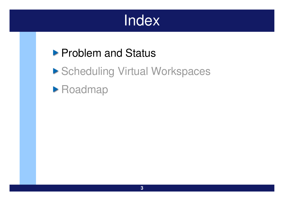## **Index**

### **Problem and Status**

▶ Scheduling Virtual Workspaces

#### **Roadmap**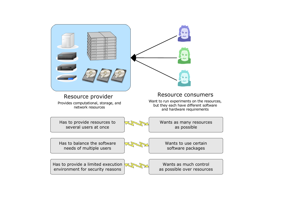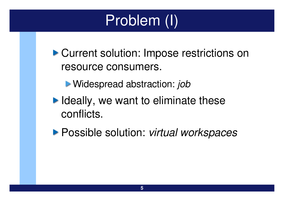# Problem (I)

▶ Current solution: Impose restrictions on resource consumers.

Widespread abstraction: *job*

 $\blacktriangleright$  Ideally, we want to eliminate these conflicts.

Possible solution: *virtual workspaces*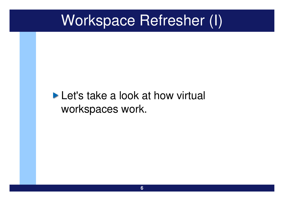## Workspace Refresher (I)

#### **Let's take a look at how virtual** workspaces work.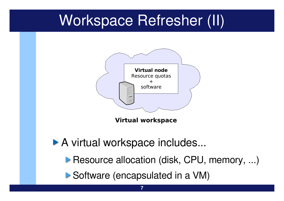## Workspace Refresher (II)



**Virtual workspace**

▶ A virtual workspace includes...

**Resource allocation (disk, CPU, memory, ...)** 

Software (encapsulated in a VM)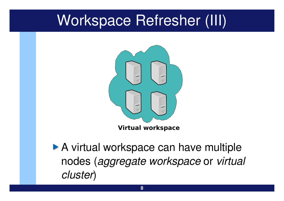## Workspace Refresher (III)



▶ A virtual workspace can have multiple nodes (*aggregate workspace* or *virtual cluster*)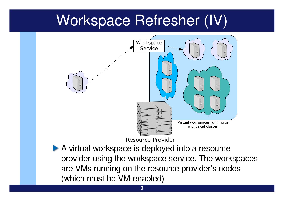## Workspace Refresher (IV)



A virtual workspace is deployed into a resource provider using the workspace service. The workspaces are VMs running on the resource provider's nodes (which must be VM-enabled)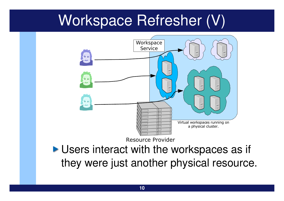## Workspace Refresher (V)

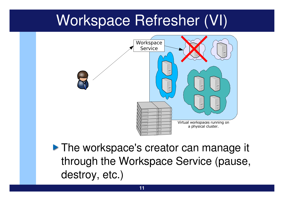## Workspace Refresher (VI)



**The workspace's creator can manage it** through the Workspace Service (pause, destroy, etc.)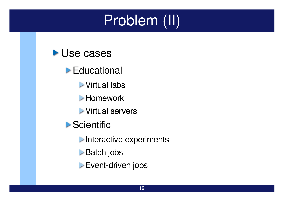# Problem (II)



- **Educational** 
	- Virtual labs
	- **Homework**
	- Virtual servers
- **Scientific** 
	- **Interactive experiments**
	- **Batch** jobs
	- Event-driven jobs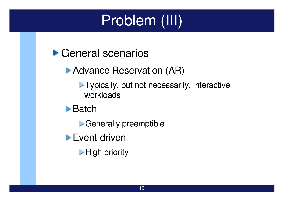# Problem (III)

▶ General scenarios

**Advance Reservation (AR)** 

- **Typically, but not necessarily, interactive** workloads
- **Batch** 
	- Generally preemptible
- $\blacktriangleright$  Event-driven
	- **High priority**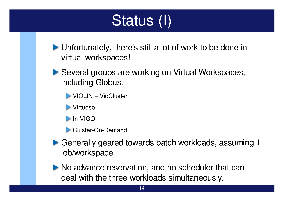# Status (I)

**Determiance Unfortunately, there's still a lot of work to be done in** virtual workspaces!

- ▶ Several groups are working on Virtual Workspaces, including Globus.
	- VIOLIN + VioCluster
	- **Virtuoso**
	- $\triangleright$  In-VIGO
	- $\triangleright$  Cluster-On-Demand
- ▶ Generally geared towards batch workloads, assuming 1 job/workspace.
- No advance reservation, and no scheduler that can deal with the three workloads simultaneously.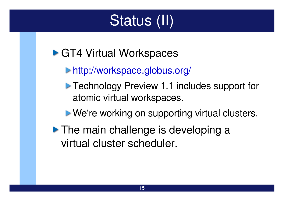# Status (II)

### ▶ GT4 Virtual Workspaces

- <http://workspace.globus.org/>
- **Technology Preview 1.1 includes support for** atomic virtual workspaces.
- **Ne're working on supporting virtual clusters.**
- **The main challenge is developing a** virtual cluster scheduler.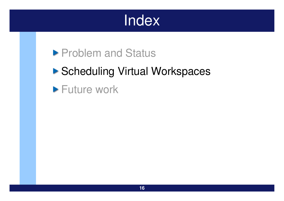## Index

### **Problem and Status**

### ▶ Scheduling Virtual Workspaces

**Future work**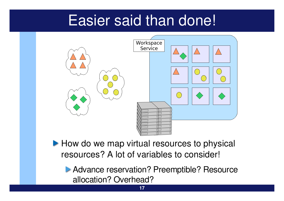## Easier said than done!



How do we map virtual resources to physical resources? A lot of variables to consider!

**Advance reservation? Preemptible? Resource** allocation? Overhead?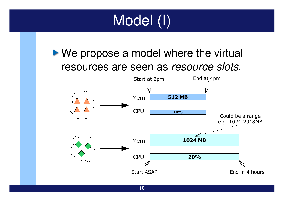

▶ We propose a model where the virtual resources are seen as *resource slots*.

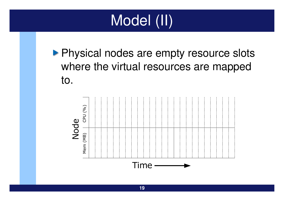

**Physical nodes are empty resource slots** where the virtual resources are mapped to.

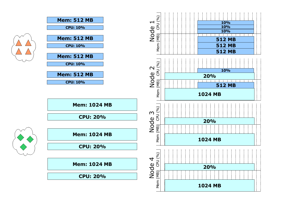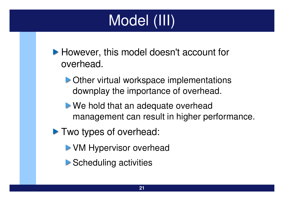# Model (III)

- **However, this model doesn't account for** overhead.
	- **Deta** Other virtual workspace implementations downplay the importance of overhead.
	- **Notaker 19 and 19 and 19 and 19 and 19 and 19 and 19 and 19 and 19 and 19 and 19 and 19 and 19 and 19 and 19 and 19 and 19 and 19 and 19 and 19 and 19 and 19 and 19 and 19 and 19 and 19 and 19 and 19 and 19 and 19 and 19** management can result in higher performance.
- Two types of overhead:
	- **VM Hypervisor overhead**
	- **Scheduling activities**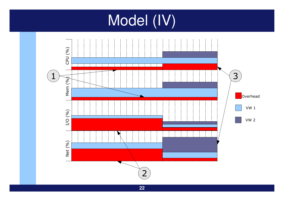## Model (IV)

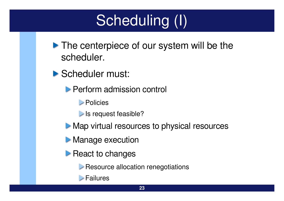# Scheduling (I)

- **The centerpiece of our system will be the** scheduler.
- Scheduler must:
	- **Perform admission control** 
		- **Policies**
		- Is request feasible?
	- **Map virtual resources to physical resources**
	- **Manage execution**
	- $\triangleright$  React to changes
		- **EXECUTE:** Resource allocation renegotiations
		- **Failures**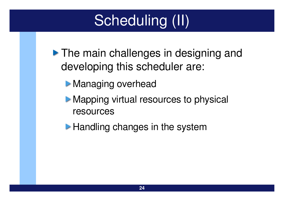# Scheduling (II)

**The main challenges in designing and** developing this scheduler are:

- **Managing overhead**
- **Mapping virtual resources to physical** resources
- **Handling changes in the system**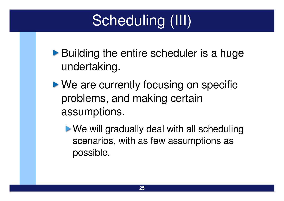# Scheduling (III)

- ▶ Building the entire scheduler is a huge undertaking.
- ▶ We are currently focusing on specific problems, and making certain assumptions.
	- **We will gradually deal with all scheduling** scenarios, with as few assumptions as possible.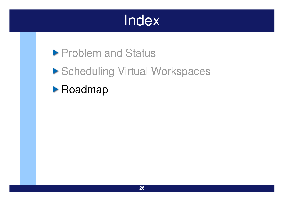## **Index**

### **Problem and Status**

### ▶ Scheduling Virtual Workspaces

#### **• Roadmap**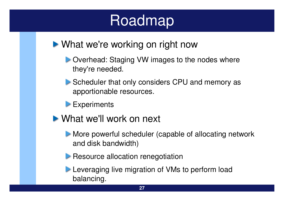## Roadmap

- ▶ What we're working on right now
	- **D** Overhead: Staging VW images to the nodes where they're needed.
	- Scheduler that only considers CPU and memory as apportionable resources.
	- **Experiments**
- What we'll work on next
	- More powerful scheduler (capable of allocating network and disk bandwidth)
	- **Resource allocation renegotiation**

Leveraging live migration of VMs to perform load balancing.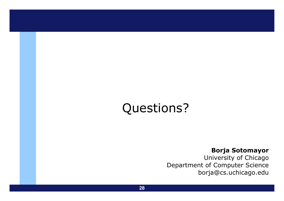### Questions?

#### **Borja Sotomayor**

University of Chicago Department of Computer Science borja@cs.uchicago.edu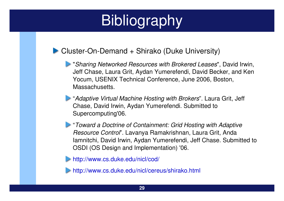#### $\blacktriangleright$  Cluster-On-Demand + Shirako (Duke University)

- "*Sharing Networked Resources with Brokered Leases*", David Irwin, Jeff Chase, Laura Grit, Aydan Yumerefendi, David Becker, and Ken Yocum, USENIX Technical Conference, June 2006, Boston, Massachusetts.
- "*Adaptive Virtual Machine Hosting with Brokers*". Laura Grit, Jeff Chase, David Irwin, Aydan Yumerefendi. Submitted to Supercomputing'06.
- "*Toward a Doctrine of Containment: Grid Hosting with Adaptive Resource Control*". Lavanya Ramakrishnan, Laura Grit, Anda Iamnitchi, David Irwin, Aydan Yumerefendi, Jeff Chase. Submitted to OSDI (OS Design and Implementation) '06.

<http://www.cs.duke.edu/nicl/cod/>

<http://www.cs.duke.edu/nicl/cereus/shirako.html>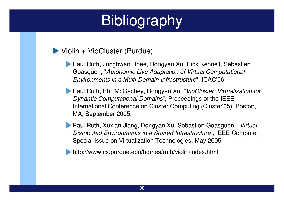#### ▶ Violin + VioCluster (Purdue)

- **Paul Ruth, Junghwan Rhee, Dongyan Xu, Rick Kennell, Sebastien** Goasguen, "*Autonomic Live Adaptation of Virtual Computational Environments in a Multi-Domain Infrastructure*", ICAC'06
- Paul Ruth, Phil McGachey, Dongyan Xu, "*VioCluster: Virtualization for Dynamic Computational Domains*", Proceedings of the IEEE International Conference on Cluster Computing (Cluster'05), Boston, MA, September 2005.
- Paul Ruth, Xuxian Jiang, Dongyan Xu, Sebastien Goasguen, "*Virtual Distributed Environments in a Shared Infrastructure*", IEEE Computer, Special Issue on Virtualization Technologies, May 2005.
- http://www.cs.purdue.edu/homes/ruth/violin/index.html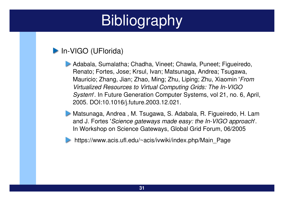#### In-VIGO (UFlorida)

- Adabala, Sumalatha; Chadha, Vineet; Chawla, Puneet; Figueiredo, Renato; Fortes, Jose; Krsul, Ivan; Matsunaga, Andrea; Tsugawa, Mauricio; Zhang, Jian; Zhao, Ming; Zhu, Liping; Zhu, Xiaomin '*From Virtualized* Resources to Virtual Computing Grids: The In-VIGO *System*'. In Future Generation Computer Systems, vol 21, no. 6, April, 2005. DOI:10.1016/j.future.2003.12.021.
- Matsunaga, Andrea , M. Tsugawa, S. Adabala, R. Figueiredo, H. Lam and J. Fortes *'Science gateways made easy: the In-VIGO approach'.* In Workshop on Science Gateways, Global Grid Forum, 06/2005



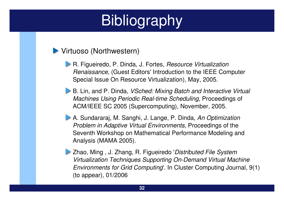#### **Virtuoso (Northwestern)**

- R. Figueiredo, P. Dinda, J. Fortes, *Resource Virtualization Renaissance*, (Guest Editors' Introduction to the IEEE Computer Special Issue On Resource Virtualization), May, 2005.
- B. Lin, and P. Dinda, *VSched: Mixing Batch and Interactive Virtual Machines Using Periodic Real-time Scheduling, Proceedings of* ACM/IEEE SC 2005 (Supercomputing), November, 2005.
- A. Sundararaj, M. Sanghi, J. Lange, P. Dinda, *An Optimization Problem in Adaptive Virtual Environments*, Proceedings of the Seventh Workshop on Mathematical Performance Modeling and Analysis (MAMA 2005).
- Zhao, Ming , J. Zhang, R. Figueiredo '*Distributed File System Virtualization Techniques Supporting On-Demand Virtual Machine Environments for Grid Computing*'. In Cluster Computing Journal, 9(1) (to appear), 01/2006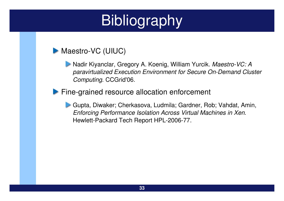#### Maestro-VC (UIUC)

**Nadir Kiyanclar, Gregory A. Koenig, William Yurcik. Maestro-VC: A** *paravirtualized Execution Environment for Secure On-Demand Cluster Computing*. CCGrid'06.

#### Fine-grained resource allocation enforcement

Gupta, Diwaker; Cherkasova, Ludmila; Gardner, Rob; Vahdat, Amin, *Enforcing Performance Isolation Across Virtual Machines in Xen*. Hewlett-Packard Tech Report HPL-2006-77.